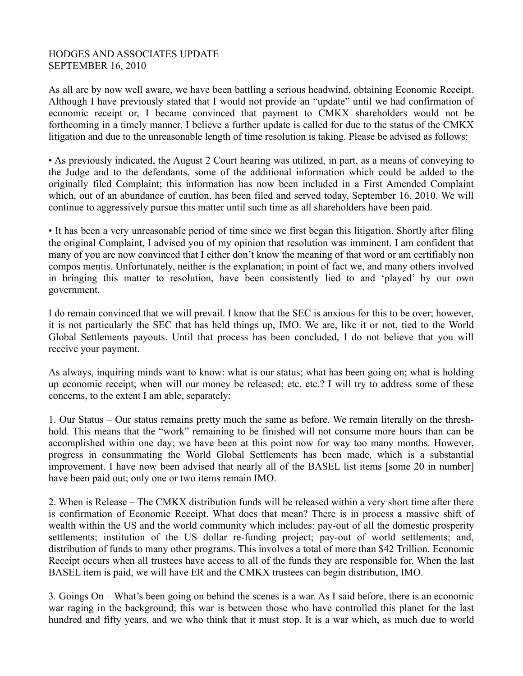## HODGES AND ASSOCIATES UPDATE SEPTEMBER 16, 2010

As all are by now well aware, we have been battling a serious headwind, obtaining Economic Receipt. Although I have previously stated that I would not provide an "update" until we had confirmation of economic receipt or, I became convinced that payment to CMKX shareholders would not be forthcoming in a timely manner, I believe a further update is called for due to the status of the CMKX litigation and due to the unreasonable length of time resolution is taking. Please be advised as follows:

• As previously indicated, the August 2 Court hearing was utilized, in part, as a means of conveying to the Judge and to the defendants, some of the additional information which could be added to the originally filed Complaint; this information has now been included in a First Amended Complaint which, out of an abundance of caution, has been filed and served today, September 16, 2010. We will continue to aggressively pursue this matter until such time as all shareholders have been paid.

• It has been a very unreasonable period of time since we first began this litigation. Shortly after filing the original Complaint, I advised you of my opinion that resolution was imminent. I am confident that many of you are now convinced that I either don't know the meaning of that word or am certifiably non compos mentis. Unfortunately, neither is the explanation; in point of fact we, and many others involved in bringing this matter to resolution, have been consistently lied to and 'played' by our own government.

I do remain convinced that we will prevail. I know that the SEC is anxious for this to be over; however, it is not particularly the SEC that has held things up, IMO. We are, like it or not, tied to the World Global Settlements payouts. Until that process has been concluded, I do not believe that you will receive your payment.

As always, inquiring minds want to know: what is our status; what has been going on; what is holding up economic receipt; when will our money be released; etc. etc.? I will try to address some of these concerns, to the extent I am able, separately:

1. Our Status – Our status remains pretty much the same as before. We remain literally on the threshhold. This means that the "work" remaining to be finished will not consume more hours than can be accomplished within one day; we have been at this point now for way too many months. However, progress in consummating the World Global Settlements has been made, which is a substantial improvement. I have now been advised that nearly all of the BASEL list items [some 20 in number] have been paid out; only one or two items remain IMO.

2. When is Release – The CMKX distribution funds will be released within a very short time after there is confirmation of Economic Receipt. What does that mean? There is in process a massive shift of wealth within the US and the world community which includes: pay-out of all the domestic prosperity settlements; institution of the US dollar re-funding project; pay-out of world settlements; and, distribution of funds to many other programs. This involves a total of more than \$42 Trillion. Economic Receipt occurs when all trustees have access to all of the funds they are responsible for. When the last BASEL item is paid, we will have ER and the CMKX trustees can begin distribution, IMO.

3. Goings On – What's been going on behind the scenes is a war. As I said before, there is an economic war raging in the background; this war is between those who have controlled this planet for the last hundred and fifty years, and we who think that it must stop. It is a war which, as much due to world